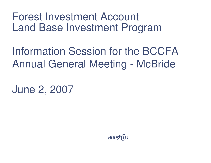Forest Investment Account Land Base Investment Program

Information Session for the BCCFA Annual General Meeting - McBride

June 2, 2007

HOUSE (CO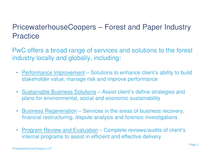# PricewaterhouseCoopers – Forest and Paper Industry **Practice**

PwC offers <sup>a</sup> broad range of services and solutions to the forest industry locally and globally, including:

- •• Performance Improvement – Solutions to enhance client's ability to build stakeholder value, manage risk and improve performance
- $\bullet$ • Sustainable Business Solutions – Assist client's define strategies and plans for environmental, social and economic sustainability
- $\bullet$ • Business Regeneration – Services in the areas of business recovery, financial restructuring, dispute analysis and forensic investigations
- $\bullet$  Program Review and Evaluation – Complete reviews/audits of client's internal programs to assist in efficient and effective delivery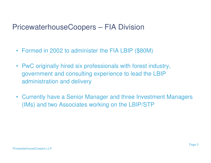#### PricewaterhouseCoopers – FIA Division

- Formed in 2002 to administer the FIA LBIP (\$80M)
- PwC originally hired six professionals with forest industry, government and consulting experience to lead the LBIP administration and delivery
- Currently have <sup>a</sup> Senior Manager and three Investment Managers (IMs) and two Associates working on the LBIP/STP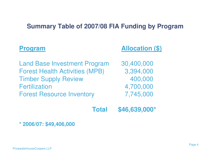#### **Summary Table of 2007/08 FIA Funding by Program**

| <b>Program</b>                        | <b>Allocation (\$)</b> |
|---------------------------------------|------------------------|
| <b>Land Base Investment Program</b>   | 30,400,000             |
| <b>Forest Health Activities (MPB)</b> | 3,394,000              |
| <b>Timber Supply Review</b>           | 400,000                |
| <b>Fertilization</b>                  | 4,700,000              |
| <b>Forest Resource Inventory</b>      | 7,745,000              |
| <b>Total</b>                          | \$46,639,000*          |

**\* 2006/07: \$49,406,000**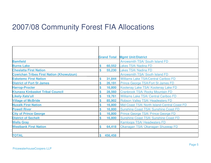#### 2007/08 Community Forest FIA Allocations

|                                                 |                         | <b>Grand Total Mgmt Unit/District</b>        |
|-------------------------------------------------|-------------------------|----------------------------------------------|
| <b>Bamfield</b>                                 |                         | Arrowsmith TSA/ South Island FD              |
| <b>Burns Lake</b>                               | 60,552<br>\$            | <b>Lakes TSA/ Nadina FD</b>                  |
| <b>Cheslatta First Nation</b>                   | 55,230                  | <b>Lakes TSA/ Nadina FD</b>                  |
| <b>Cowichan Tribes First Nation (Khowutzun)</b> |                         | <b>Arrowsmith TSA/ South Island FD</b>       |
| <b>Esketemc First Nation</b>                    | \$<br>31,844            | <b>Williams Lake TSA/Central Cariboo FD</b>  |
| <b>District of Fort St James</b>                | \$<br>26,191            | Prince George TSA/Fort St James FD           |
| <b>Harrop-Procter</b>                           | 16,800<br>\$            | Kootenay Lake TSA/Kootenay Lake FD           |
| <b>Ktunaxa Kinbasket Tribal Council</b>         | 28,560<br>S             | Cranbrook TSA/ Rocky Mountain FD             |
| <b>Likely-Xats'ull</b>                          | 19,761<br>\$            | Williams Lake TSA/ Central Cariboo FD        |
| <b>Village of McBride</b>                       | \$<br>85,902            | Robson Valley TSA/Headwaters FD              |
| <b>Nuxalk First Nation</b>                      | \$<br>16,800            | Mid-Coast TSA/ North Island-Central Coast FD |
| <b>Powell River</b>                             | 16,800<br>\$            | <b>Sunshine Coast TSA/ Sunshine Coast FD</b> |
| <b>City of Prince George</b>                    | 16,800<br>\$            | Prince George TSA/ Prince George FD          |
| <b>District of Sechelt</b>                      | 16,800<br>\$            | <b>Sunshine Coast TSA/ Sunshine Coast FD</b> |
| <b>Wells Gray</b>                               |                         | Kamloops TSA/Headwaters FD                   |
| <b>Westbank First Nation</b>                    | \$<br>64,418            | Okanagan TSA/ Okanagan Shuswap FD            |
|                                                 |                         |                                              |
| <b>TOTAL</b>                                    | 456,458<br>$\mathbf{s}$ |                                              |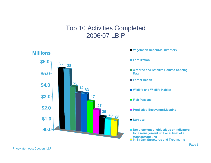#### Top 10 Activities Completed 2006/07 LBIP



- **Vegetation Resource Inventory**
- **Fertilization**
- **Airborne and Satellite Remote Sensing Data**
- **Forest Health**
- **Wildlife and Wildlife Habitat**
- **Fish Passage**
- **Predictive Ecosystem Mapping**
- Surveys
- **Development of objectives or indicators for a management unit or subset of <sup>a</sup> management unit In Stream Structures and Treatments**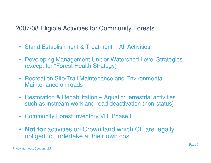#### 2007/08 Eligible Activities for Community Forests

- Stand Establishment & Treatment All Activities
- Developing Management Unit or Watershed Level Strategies (except for "Forest Health Strategy)
- Recreation Site/Trail Maintenance and Environmental Maintenance on roads
- Restoration & Rehabilitation Aquatic/Terrestrial activities such as instream work and road deactivation (non-status)
- Community Forest Inventory VRI Phase I
- **Not for** activities on Crown land which CF are legally obliged to undertake at their own cost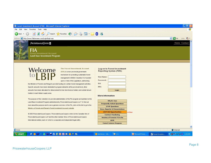#### <sup>2</sup> Forest Investment Account (FIA) - Microsoft Internet Explorer |- ||리 File Edit View Favorites Tools Help OBack • ⊙ · R 2 → O Search ☆ Favorites → B → B → B → B → B Address **&** http://www.fialicensees.com/Login/login.asp v D Go Links + **PRICEWATERHOUSE COPERS** Home Contact FIA **Forest Investment Account Land Base Investment Program** Welcome **The Forest Investment Account** Log-on to Forest Investment **Reporting System (FIRS)** (FIA) is a new provincial government mechanism for promoting sustainable forest **User Hame:** management in British Columbia. It is founded Password: upon a Vote of the Legislature, authorizing IS# the Minister of Forests and Range to provide funding for certain forest management activities. Specific amounts have been dedicated to program elements at the provincial level, other PP# amounts have been allocated for disbursement to tree farm licence holders and certain tenure Login holders in each timber supply area **More Information** The purpose of this website is to provide administration of the FIA program as it pertains to the What's New Land Base Investment Program administered by PricewaterhouseCoopers LLP. To find out **Frequently Asked Questions** more about the purpose and to see a general overview of the FIA, click on this link to go to the **SFMP Questions** Ministry of Forests and Range's Forest Investment Account website **Docs, Reports & Presentations LBIP Bid Opportunities**  $-$  New @ 2003 PricewaterhouseCoopers. PricewaterhouseCoopers refers to the Canadian firm of **Contract Tendering** PricewaterhouseCoopers LLP and the other member firms of PricewaterhouseCoopers Ministry of Forests FIA site International Limited, each of which is a separate and independent legal entity. LBIR **Forest Science Program**  $\overline{\mathbf{v}}$ **Done O** Internet **COOO ZEYDEDDAR**  $\mathbf{E}(\mathbf{C})$ Microsoft Powe... **◇显型的多多 6:46 AM H**<sub>s</sub> start Ian Brown - Inb... Forest Investm...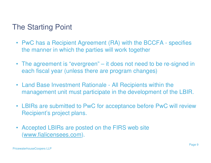## The Starting Point

- • PwC has <sup>a</sup> Recipient Agreement (RA) with the BCCFA - specifies the manner in which the parties will work together
- The agreement is "evergreen" it does not need to be re-signed in each fiscal year (unless there are program changes)
- Land Base Investment Rationale All Recipients within the management unit must participate in the development of the LBIR.
- LBIRs are submitted to PwC for acceptance before PwC will review Recipient's project plans.
- $\bullet$  Accepted LBIRs are posted on the FIRS web site (www.fialicensees.com).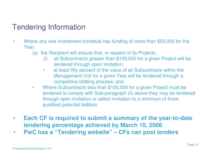# Tendering Information

- • Where any one Investment schedule has funding of more than \$50,000 for the Year:
	- (a) the Recipient will ensure that, in respect of its Projects,
		- (i) all Subcontracts greater than \$100,000 for <sup>a</sup> given Project will be tendered through open invitation;
		- $\bullet$  at least fifty percent of the value of all Subcontracts within the Management Unit for <sup>a</sup> given Year will be tendered through <sup>a</sup> competitive bidding process; and
	- $\bullet$  Where Subcontracts less than \$100,000 for <sup>a</sup> given Project must be tendered to comply with Sub-paragraph (ii) above they may be tendered through open invitation or select invitation to <sup>a</sup> minimum of three qualified potential bidders.
- $\bullet$  **Each CF is required to submit <sup>a</sup> summary of the year-to-date tendering percentage achieved by March 15, 2008**
- $\bullet$ **PwC has <sup>a</sup> "Tendering website" – CFs can post tenders**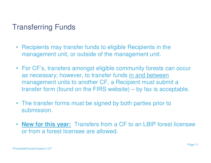# Transferring Funds

- $\bullet$  Recipients may transfer funds to eligible Recipients in the management unit, or outside of the management unit.
- For CF's, transfers amongst eligible community forests can occur as necessary; however, to transfer funds <u>in and between</u> management units to another CF, <sup>a</sup> Recipient must submit <sup>a</sup> transfer form (found on the FIRS website) – by fax is acceptable.
- The transfer forms must be signed by both parties prior to submission.
- $\bullet$  **New for this year:** Transfers from <sup>a</sup> CF to an LBIP forest licensee or from a forest licensee are allowed.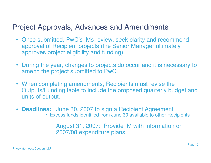## Project Approvals, Advances and Amendments

- Once submitted, PwC's IMs review, seek clarity and recommend approval of Recipient projects (the Senior Manager ultimately approves project eligibility and funding).
- $\bullet$  During the year, changes to projects do occur and it is necessary to amend the project submitted to PwC.
- When completing amendments, Recipients must revise the Outputs/Funding table to include the proposed quarterly budget and units of output.
- $\bullet$ **Deadlines:** June 30, 2007 to sign <sup>a</sup> Recipient Agreement

• Excess funds identified from June 30 available to other Recipients

August 31, 2007: Provide IM with information on 2007/08 expenditure plans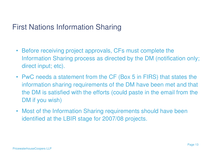#### First Nations Information Sharing

- $\bullet$  Before receiving project approvals, CFs must complete the Information Sharing process as directed by the DM (notification only; direct input; etc).
- PwC needs a statement from the CF (Box 5 in FIRS) that states the information sharing requirements of the DM have been met and that the DM is satisfied with the efforts (could paste in the email from the DM if you wish)
- $\bullet$  Most of the Information Sharing requirements should have been identified at the LBIR stage for 2007/08 projects.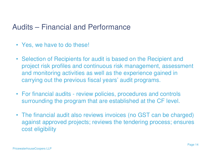#### Audits – Financial and Performance

- Yes, we have to do these!
- Selection of Recipients for audit is based on the Recipient and project risk profiles and continuous risk management, assessment and monitoring activities as well as the experience gained in carrying out the previous fiscal years' audit programs.
- For financial audits review policies, procedures and controls surrounding the program that are established at the CF level.
- The financial audit also reviews invoices (no GST can be charged) against approved projects; reviews the tendering process; ensures cost eligibility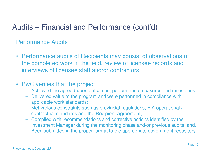# Audits – Financial and Performance (cont'd)

#### Performance Audits

• Performance audits of Recipients may consist of observations of the completed work in the field, review of licensee records and interviews of licensee staff and/or contractors.

#### $\bullet$ • PwC verifies that the project

- Achieved the agreed-upon outcomes, performance measures and milestones;
- Delivered value to the program and were performed in compliance with applicable work standards;
- Met various constraints such as provincial regulations, FIA operational / contractual standards and the Recipient Agreement;
- Complied with recommendations and corrective actions identified by the Investment Manager during the monitoring phase and/or previous audits; and,
- Been submitted in the proper format to the appropriate government repository.